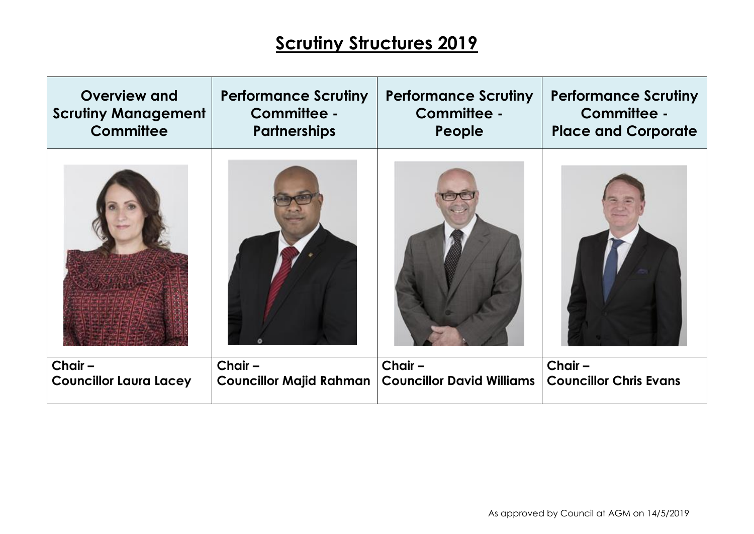| <b>Overview and</b>           | <b>Performance Scrutiny</b>    | <b>Performance Scrutiny</b>      | <b>Performance Scrutiny</b>   |
|-------------------------------|--------------------------------|----------------------------------|-------------------------------|
| <b>Scrutiny Management</b>    | Committee -                    | Committee -                      | Committee -                   |
| <b>Committee</b>              | <b>Partnerships</b>            | People                           | <b>Place and Corporate</b>    |
|                               |                                |                                  |                               |
| $Chair -$                     | $Chair -$                      | Chair $-$                        | $Chair -$                     |
| <b>Councillor Laura Lacey</b> | <b>Councillor Majid Rahman</b> | <b>Councillor David Williams</b> | <b>Councillor Chris Evans</b> |
|                               |                                |                                  |                               |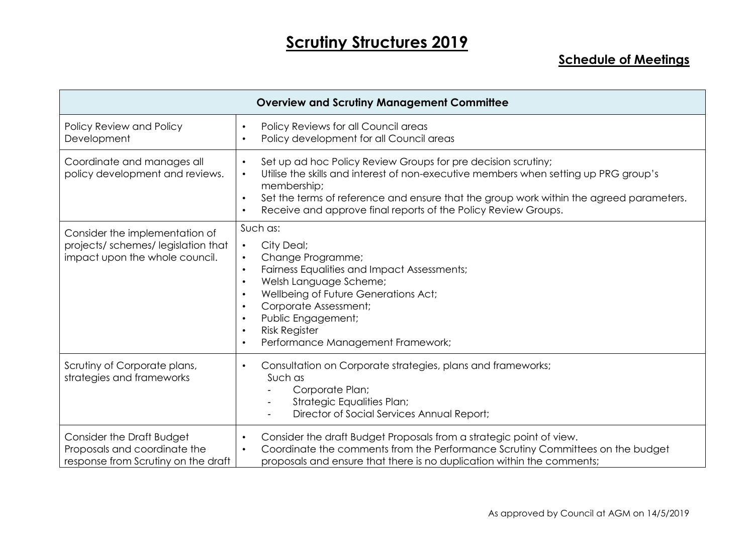## **Schedule of Meetings**

| <b>Overview and Scrutiny Management Committee</b>                                                       |                                                                                                                                                                                                                                                                                                                                                                                               |  |
|---------------------------------------------------------------------------------------------------------|-----------------------------------------------------------------------------------------------------------------------------------------------------------------------------------------------------------------------------------------------------------------------------------------------------------------------------------------------------------------------------------------------|--|
| Policy Review and Policy<br>Development                                                                 | Policy Reviews for all Council areas<br>$\bullet$<br>Policy development for all Council areas<br>$\bullet$                                                                                                                                                                                                                                                                                    |  |
| Coordinate and manages all<br>policy development and reviews.                                           | Set up ad hoc Policy Review Groups for pre decision scrutiny;<br>$\bullet$<br>Utilise the skills and interest of non-executive members when setting up PRG group's<br>$\bullet$<br>membership;<br>Set the terms of reference and ensure that the group work within the agreed parameters.<br>$\bullet$<br>Receive and approve final reports of the Policy Review Groups.<br>$\bullet$         |  |
| Consider the implementation of<br>projects/ schemes/ legislation that<br>impact upon the whole council. | Such as:<br>City Deal;<br>$\bullet$<br>Change Programme;<br>$\bullet$<br>Fairness Equalities and Impact Assessments;<br>$\bullet$<br>Welsh Language Scheme;<br>$\bullet$<br>Wellbeing of Future Generations Act;<br>$\bullet$<br>Corporate Assessment;<br>$\bullet$<br>Public Engagement;<br>$\bullet$<br><b>Risk Register</b><br>$\bullet$<br>Performance Management Framework;<br>$\bullet$ |  |
| Scrutiny of Corporate plans,<br>strategies and frameworks                                               | Consultation on Corporate strategies, plans and frameworks;<br>$\bullet$<br>Such as<br>Corporate Plan;<br><b>Strategic Equalities Plan;</b><br>Director of Social Services Annual Report;                                                                                                                                                                                                     |  |
| <b>Consider the Draft Budget</b><br>Proposals and coordinate the<br>response from Scrutiny on the draft | Consider the draft Budget Proposals from a strategic point of view.<br>$\bullet$<br>Coordinate the comments from the Performance Scrutiny Committees on the budget<br>$\bullet$<br>proposals and ensure that there is no duplication within the comments;                                                                                                                                     |  |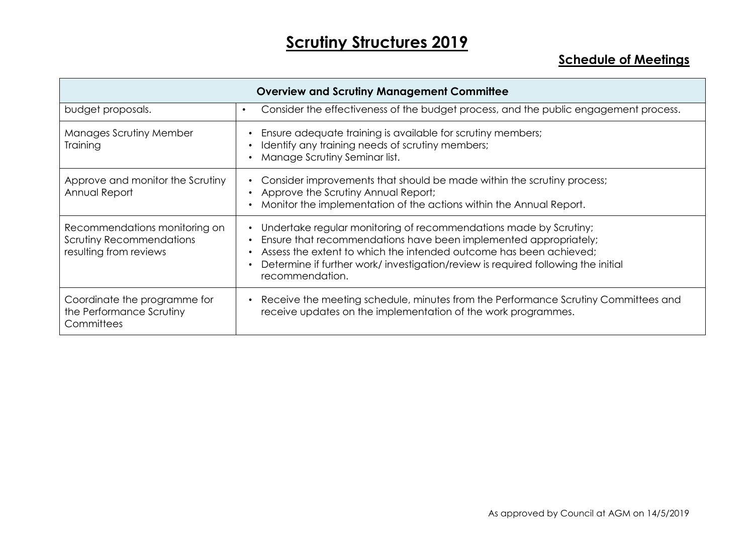## **Schedule of Meetings**

| <b>Overview and Scrutiny Management Committee</b>                                          |                                                                                                                                                                                                                                                                                                                    |  |  |
|--------------------------------------------------------------------------------------------|--------------------------------------------------------------------------------------------------------------------------------------------------------------------------------------------------------------------------------------------------------------------------------------------------------------------|--|--|
| budget proposals.                                                                          | Consider the effectiveness of the budget process, and the public engagement process.<br>$\bullet$                                                                                                                                                                                                                  |  |  |
| Manages Scrutiny Member<br>Training                                                        | Ensure adequate training is available for scrutiny members;<br>Identify any training needs of scrutiny members;<br>Manage Scrutiny Seminar list.                                                                                                                                                                   |  |  |
| Approve and monitor the Scrutiny<br>Annual Report                                          | Consider improvements that should be made within the scrutiny process;<br>Approve the Scrutiny Annual Report;<br>Monitor the implementation of the actions within the Annual Report.                                                                                                                               |  |  |
| Recommendations monitoring on<br><b>Scrutiny Recommendations</b><br>resulting from reviews | Undertake regular monitoring of recommendations made by Scrutiny;<br>Ensure that recommendations have been implemented appropriately;<br>Assess the extent to which the intended outcome has been achieved;<br>Determine if further work/investigation/review is required following the initial<br>recommendation. |  |  |
| Coordinate the programme for<br>the Performance Scrutiny<br>Committees                     | Receive the meeting schedule, minutes from the Performance Scrutiny Committees and<br>receive updates on the implementation of the work programmes.                                                                                                                                                                |  |  |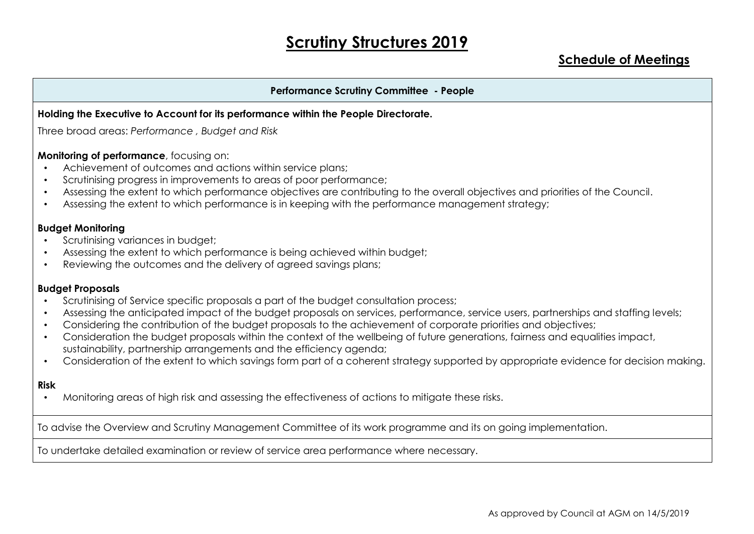## **Schedule of Meetings**

### **Performance Scrutiny Committee - People**

## **Holding the Executive to Account for its performance within the People Directorate.**

Three broad areas: *Performance , Budget and Risk*

## **Monitoring of performance**, focusing on:

- Achievement of outcomes and actions within service plans;
- Scrutinising progress in improvements to areas of poor performance;
- Assessing the extent to which performance objectives are contributing to the overall objectives and priorities of the Council.
- Assessing the extent to which performance is in keeping with the performance management strategy;

## **Budget Monitoring**

- Scrutinising variances in budget;
- Assessing the extent to which performance is being achieved within budget;
- Reviewing the outcomes and the delivery of agreed savings plans;

### **Budget Proposals**

- Scrutinising of Service specific proposals a part of the budget consultation process;
- Assessing the anticipated impact of the budget proposals on services, performance, service users, partnerships and staffing levels;
- Considering the contribution of the budget proposals to the achievement of corporate priorities and objectives;
- Consideration the budget proposals within the context of the wellbeing of future generations, fairness and equalities impact, sustainability, partnership arrangements and the efficiency agenda;
- Consideration of the extent to which savings form part of a coherent strategy supported by appropriate evidence for decision making.

#### **Risk**

• Monitoring areas of high risk and assessing the effectiveness of actions to mitigate these risks.

To advise the Overview and Scrutiny Management Committee of its work programme and its on going implementation.

To undertake detailed examination or review of service area performance where necessary.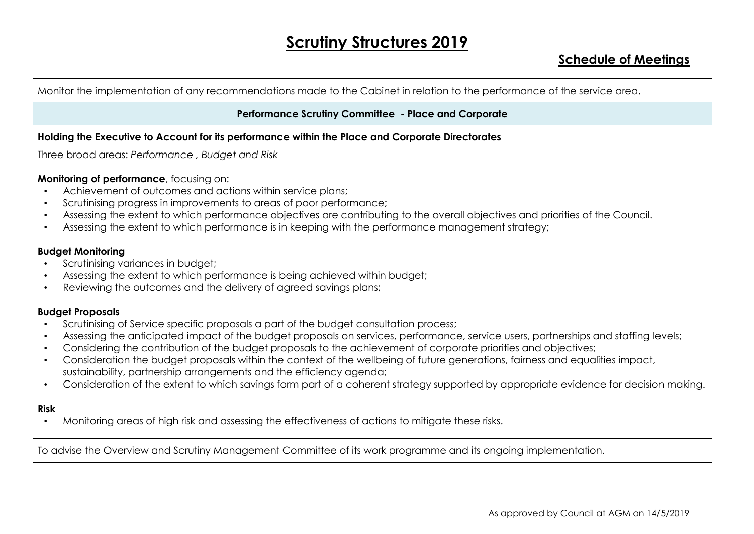## **Schedule of Meetings**

Monitor the implementation of any recommendations made to the Cabinet in relation to the performance of the service area.

## **Performance Scrutiny Committee - Place and Corporate**

## **Holding the Executive to Account for its performance within the Place and Corporate Directorates**

Three broad areas: *Performance , Budget and Risk*

## **Monitoring of performance**, focusing on:

- Achievement of outcomes and actions within service plans;
- Scrutinising progress in improvements to areas of poor performance;
- Assessing the extent to which performance objectives are contributing to the overall objectives and priorities of the Council.
- Assessing the extent to which performance is in keeping with the performance management strategy;

### **Budget Monitoring**

- Scrutinising variances in budget;
- Assessing the extent to which performance is being achieved within budget;
- Reviewing the outcomes and the delivery of agreed savings plans;

### **Budget Proposals**

- Scrutinising of Service specific proposals a part of the budget consultation process;
- Assessing the anticipated impact of the budget proposals on services, performance, service users, partnerships and staffing levels;
- Considering the contribution of the budget proposals to the achievement of corporate priorities and objectives;
- Consideration the budget proposals within the context of the wellbeing of future generations, fairness and equalities impact, sustainability, partnership arrangements and the efficiency agenda;
- Consideration of the extent to which savings form part of a coherent strategy supported by appropriate evidence for decision making.

#### **Risk**

• Monitoring areas of high risk and assessing the effectiveness of actions to mitigate these risks.

To advise the Overview and Scrutiny Management Committee of its work programme and its ongoing implementation.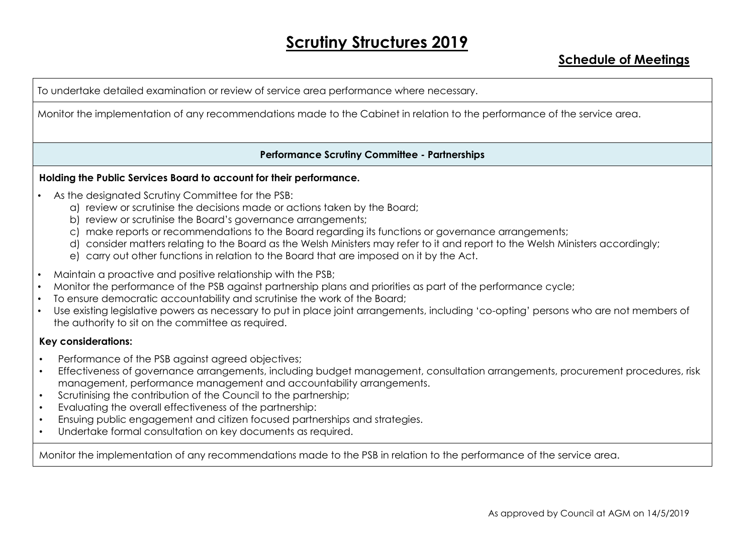To undertake detailed examination or review of service area performance where necessary.

Monitor the implementation of any recommendations made to the Cabinet in relation to the performance of the service area.

## **Performance Scrutiny Committee - Partnerships**

## **Holding the Public Services Board to account for their performance.**

- As the designated Scrutiny Committee for the PSB:
	- a) review or scrutinise the decisions made or actions taken by the Board;
	- b) review or scrutinise the Board's governance arrangements;
	- c) make reports or recommendations to the Board regarding its functions or governance arrangements;
	- d) consider matters relating to the Board as the Welsh Ministers may refer to it and report to the Welsh Ministers accordingly;
	- e) carry out other functions in relation to the Board that are imposed on it by the Act.
- Maintain a proactive and positive relationship with the PSB;
- Monitor the performance of the PSB against partnership plans and priorities as part of the performance cycle;
- To ensure democratic accountability and scrutinise the work of the Board;
- Use existing legislative powers as necessary to put in place joint arrangements, including 'co-opting' persons who are not members of the authority to sit on the committee as required.

## **Key considerations:**

- Performance of the PSB against agreed objectives;
- Effectiveness of governance arrangements, including budget management, consultation arrangements, procurement procedures, risk management, performance management and accountability arrangements.
- Scrutinising the contribution of the Council to the partnership;
- Evaluating the overall effectiveness of the partnership:
- Ensuing public engagement and citizen focused partnerships and strategies.
- Undertake formal consultation on key documents as required.

Monitor the implementation of any recommendations made to the PSB in relation to the performance of the service area.